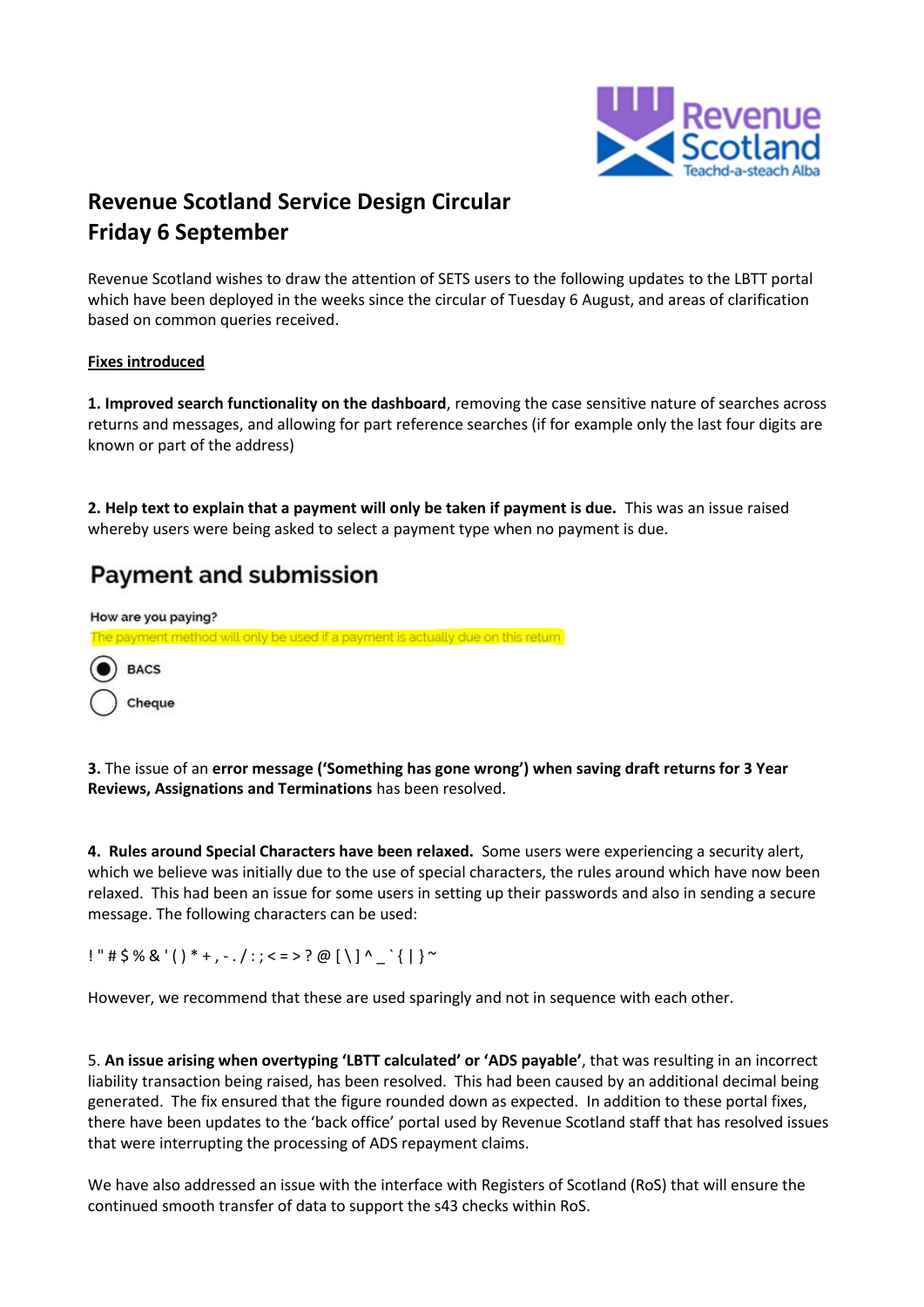

# **Revenue Scotland Service Design Circular Friday 6 September**

Revenue Scotland wishes to draw the attention of SETS users to the following updates to the LBTT portal which have been deployed in the weeks since the circular of Tuesday 6 August, and areas of clarification based on common queries received.

## **Fixes introduced**

**1. Improved search functionality on the dashboard**, removing the case sensitive nature of searches across returns and messages, and allowing for part reference searches (if for example only the last four digits are known or part of the address)

**2. Help text to explain that a payment will only be taken if payment is due.** This was an issue raised whereby users were being asked to select a payment type when no payment is due.

## **Payment and submission**

How are you paying? The payment method will only be used if a payment is actually due on this return **BACS** Cheque

**3.** The issue of an **error message ('Something has gone wrong') when saving draft returns for 3 Year Reviews, Assignations and Terminations** has been resolved.

**4. Rules around Special Characters have been relaxed.** Some users were experiencing a security alert, which we believe was initially due to the use of special characters, the rules around which have now been relaxed. This had been an issue for some users in setting up their passwords and also in sending a secure message. The following characters can be used:

 $!$  " # \$ % & '( ) \* + , - . / : ; < = > ? @ [ \ ] ^ \_ ` { | } ~

However, we recommend that these are used sparingly and not in sequence with each other.

5. **An issue arising when overtyping 'LBTT calculated' or 'ADS payable'**, that was resulting in an incorrect liability transaction being raised, has been resolved. This had been caused by an additional decimal being generated. The fix ensured that the figure rounded down as expected. In addition to these portal fixes, there have been updates to the 'back office' portal used by Revenue Scotland staff that has resolved issues that were interrupting the processing of ADS repayment claims.

We have also addressed an issue with the interface with Registers of Scotland (RoS) that will ensure the continued smooth transfer of data to support the s43 checks within RoS.